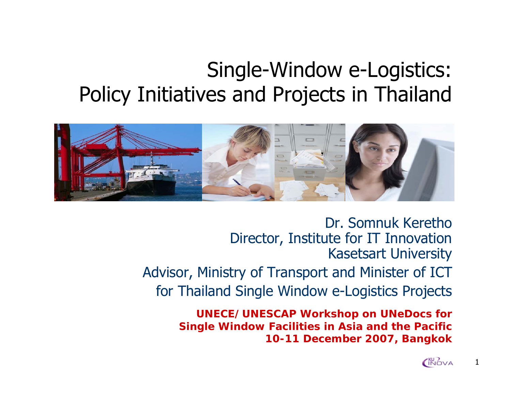## Single-Window e-Logistics: Policy Initiatives and Projects in Thailand



Dr. Somnuk KerethoDirector, Institute for IT Innovation Kasetsart University Advisor, Ministry of Transport and Minister of ICT for Thailand Single Window e-Logistics Projects

> **UNECE/UNESCAP Workshop on UNeDocs for Single Window Facilities in Asia and the Pacific 10-11 December 2007, Bangkok**



1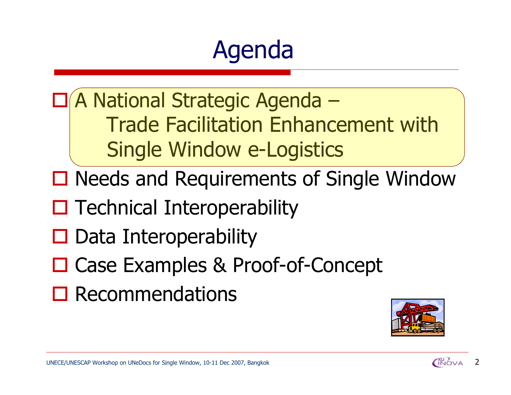# Agenda

 A National Strategic Agenda – Trade Facilitation Enhancement with Single Window e-Logistics

- □ Needs and Requirements of Single Window
- $\square$  Technical Interoperability
- $\square$  Data Interoperability
- □ Case Examples & Proof-of-Concept
- $\square$  Recommendations

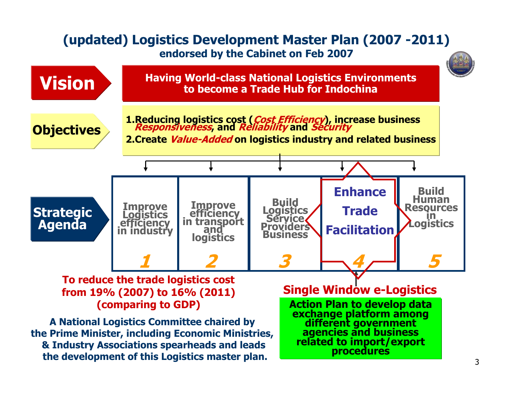#### **(updated) Logistics Development Master Plan (2007 -2011) endorsed by the Cabinet on Feb 2007**

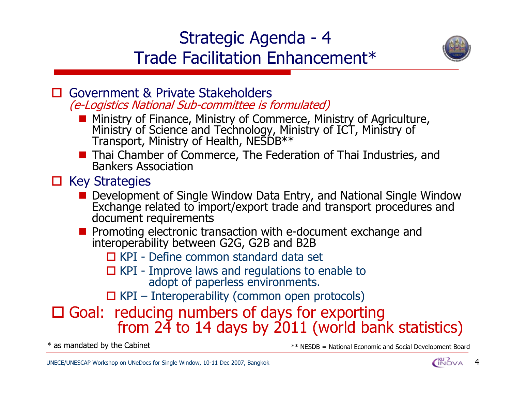### Strategic Agenda - 4 Trade Facilitation Enhancement\*



- $\Box$  Government & Private Stakeholders (e-Logistics National Sub-committee is formulated)
	- Ministry of Finance, Ministry of Commerce, Ministry of Agriculture, Ministry of Science and Technology, Ministry of ICT, Ministry of Transport, Ministry of Health, NESDB\*\*
	- **Thai Chamber of Commerce, The Federation of Thai Industries, and** Bankers Association

#### $\square$  Key Strategies

- Development of Single Window Data Entry, and National Single Window Exchange related to import/export trade and transport procedures and document requirements
- Promoting electronic transaction with e-document exchange and interoperability between G2G, G2B and B2B

□ KPI - Define common standard data set

**□ KPI** - Improve laws and regulations to enable to adopt of paperless environments.

 $\Box$  KPI – Interoperability (common open protocols)

### □ Goal: reducing numbers of days for exporting from  $24$  to 14 days by 2011 (world bank statistics)

\* as mandated by the Cabinet  $*$   $*$  NESDB = National Economic and Social Development Board

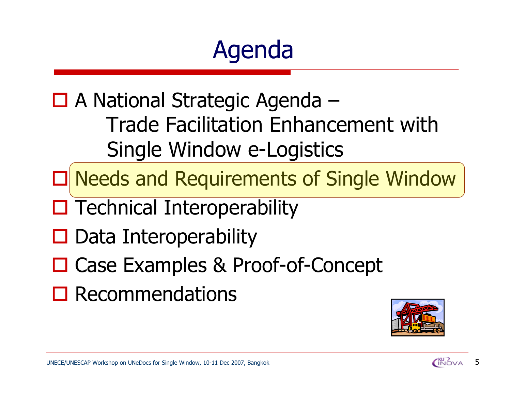# Agenda

□ A National Strategic Agenda – Trade Facilitation Enhancement with Single Window e-Logistics

Needs and Requirements of Single Window

- $\square$  Technical Interoperability
- $\square$  Data Interoperability
- □ Case Examples & Proof-of-Concept
- $\square$  Recommendations

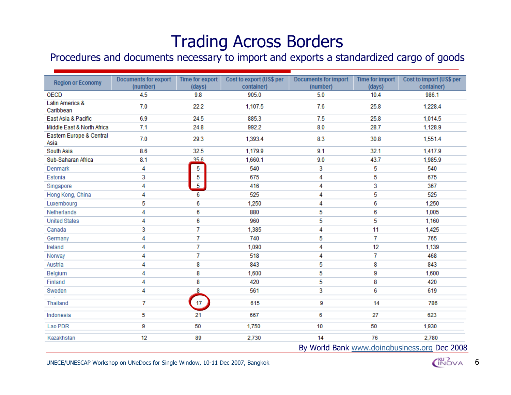### Trading Across Borders

#### Procedures and documents necessary to import and exports a standardized cargo of goods

| <b>Region or Economy</b>         | <b>Documents for export</b><br>(number) | Time for export<br>(days) | Cost to export (US\$ per<br>container) | <b>Documents for import</b><br>(number) | <b>Time for import</b><br>(days) | Cost to import (US\$ per<br>container)       |
|----------------------------------|-----------------------------------------|---------------------------|----------------------------------------|-----------------------------------------|----------------------------------|----------------------------------------------|
| <b>OECD</b>                      | 4.5                                     | 9.8                       | 905.0                                  | 5.0                                     | 10.4                             | 986.1                                        |
| Latin America &<br>Caribbean     | 7.0                                     | 22.2                      | 1,107.5                                | 7.6                                     | 25.8                             | 1,228.4                                      |
| East Asia & Pacific              | 6.9                                     | 24.5                      | 885.3                                  | 7.5                                     | 25.8                             | 1,014.5                                      |
| Middle East & North Africa       | 7.1                                     | 24.8                      | 992.2                                  | 8.0                                     | 28.7                             | 1,128.9                                      |
| Eastern Europe & Central<br>Asia | 7.0                                     | 29.3                      | 1,393.4                                | 8.3                                     | 30.8                             | 1,551.4                                      |
| South Asia                       | 8.6                                     | 32.5                      | 1,179.9                                | 9.1                                     | 32.1                             | 1,417.9                                      |
| Sub-Saharan Africa               | 8.1                                     | 356                       | 1,660.1                                | 9.0                                     | 43.7                             | 1,985.9                                      |
| Denmark                          | 4                                       | 5                         | 540                                    | 3                                       | 5                                | 540                                          |
| Estonia                          | 3                                       | 5                         | 675                                    | 4                                       | 5                                | 675                                          |
| Singapore                        | 4                                       | $\overline{5}$            | 416                                    | 4                                       | 3                                | 367                                          |
| Hong Kong, China                 | 4                                       | 6                         | 525                                    | 4                                       | 5                                | 525                                          |
| Luxembourg                       | 5                                       | 6                         | 1,250                                  | 4                                       | 6                                | 1,250                                        |
| Netherlands                      | 4                                       | 6                         | 880                                    | 5                                       | 6                                | 1,005                                        |
| <b>United States</b>             | 4                                       | 6                         | 960                                    | 5                                       | 5                                | 1,160                                        |
| Canada                           | 3                                       | 7                         | 1,385                                  | 4                                       | 11                               | 1,425                                        |
| Germany                          | 4                                       | 7                         | 740                                    | 5                                       | 7                                | 765                                          |
| Ireland                          | 4                                       | 7                         | 1,090                                  | 4                                       | 12                               | 1,139                                        |
| Norway                           | 4                                       | 7                         | 518                                    | 4                                       | $\overline{7}$                   | 468                                          |
| Austria                          | 4                                       | 8                         | 843                                    | 5                                       | 8                                | 843                                          |
| Belgium                          | 4                                       | 8                         | 1,600                                  | 5                                       | 9                                | 1,600                                        |
| Finland                          | 4                                       | 8                         | 420                                    | 5                                       | 8                                | 420                                          |
| Sweden                           | 4                                       | 8                         | 561                                    | 3                                       | 6                                | 619                                          |
| Thailand                         | 7                                       | 17 <sub>2</sub>           | 615                                    | 9                                       | 14                               | 786                                          |
| Indonesia                        | 5                                       | 21                        | 667                                    | 6                                       | 27                               | 623                                          |
| Lao PDR                          | 9                                       | 50                        | 1,750                                  | 10                                      | 50                               | 1,930                                        |
| Kazakhstan                       | 12                                      | 89                        | 2,730                                  | 14                                      | 76                               | 2,780                                        |
|                                  |                                         |                           |                                        |                                         |                                  | By World Bank www.doingbusiness.org Dec 2008 |

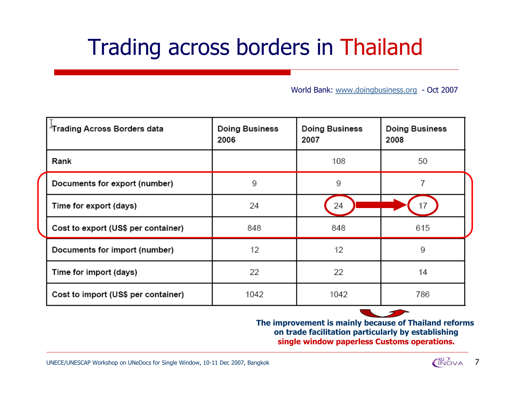# Trading across borders in Thailand

World Bank: [www.doingbusiness.org](http://www.doingbusiness.org/) - Oct 2007

| Trading Across Borders data         | <b>Doing Business</b><br>2006 | <b>Doing Business</b><br>2007 | <b>Doing Business</b><br>2008 |
|-------------------------------------|-------------------------------|-------------------------------|-------------------------------|
| Rank                                |                               | 108                           | 50                            |
| Documents for export (number)       | 9                             | 9                             |                               |
| Time for export (days)              | 24                            | 24                            | 17                            |
| Cost to export (US\$ per container) | 848                           | 848                           | 615                           |
| Documents for import (number)       | 12                            | 12                            | 9                             |
| Time for import (days)              | 22                            | 22                            | 14                            |
| Cost to import (US\$ per container) | 1042                          | 1042                          | 786                           |

**The improvement is mainly because of Thailand reforms on trade facilitation particularly by establishing single window paperless Customs operations.**

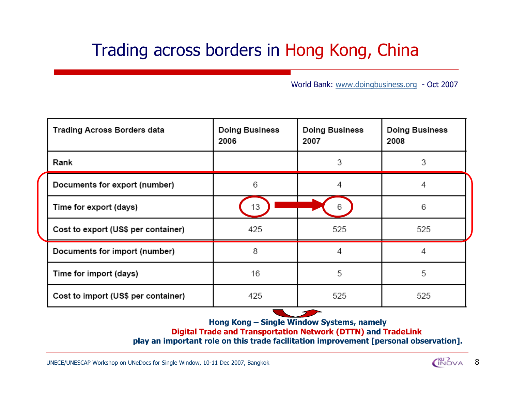### Trading across borders in Hong Kong, China

World Bank: [www.doingbusiness.org](http://www.doingbusiness.org/) - Oct 2007

| <b>Trading Across Borders data</b>  | <b>Doing Business</b><br>2006 | <b>Doing Business</b><br>2007 | <b>Doing Business</b><br>2008 |
|-------------------------------------|-------------------------------|-------------------------------|-------------------------------|
| Rank                                |                               | 3                             | 3                             |
| Documents for export (number)       | 6                             | 4                             | 4                             |
| Time for export (days)              | 13                            | 6                             | 6                             |
| Cost to export (US\$ per container) | 425                           | 525                           | 525                           |
| Documents for import (number)       | 8                             | 4                             | 4                             |
| Time for import (days)              | 16                            | 5                             | 5                             |
| Cost to import (US\$ per container) | 425                           | 525                           | 525                           |

**Hong Kong – Single Window Systems, namely**

**Digital Trade and Transportation Network (DTTN) and TradeLink**

**play an important role on this trade facilitation improvement [personal observation].**

UNECE/UNESCAP Workshop on UNeDocs for Single Window, 10-11 Dec 2007, Bangkok



8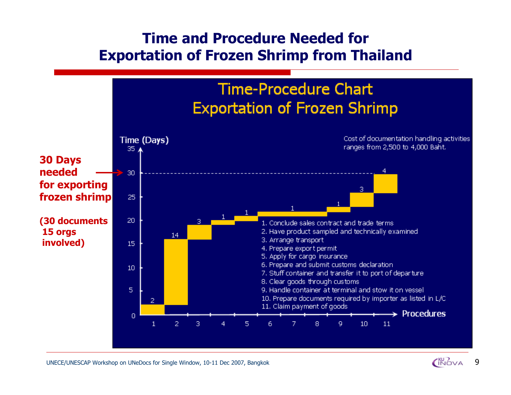#### **Time and Procedure Needed for Exportation of Frozen Shrimp from Thailand**



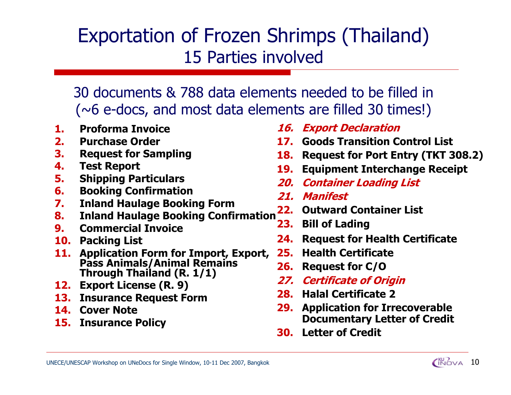## Exportation of Frozen Shrimps (Thailand) 15 Parties involved

30 documents & 788 data elements needed to be filled in $(\sim$ 6 e-docs, and most data elements are filled 30 times!)

- **1.Proforma Invoice**
- **2.Purchase Order**
- **3.Request for Sampling**
- **4.Test Report**
- **5.Shipping Particulars**
- **6.Booking Confirmation**
- **7.Inland Haulage Booking Form**
- **8.Inland Haulage Booking Confirmation**
- **9.Commercial Invoice**
- **10. Packing List**
- **11. Application Form for Import, Export, Pass Animals/Animal Remains Through Thailand (R. 1/1)**
- **12. Export License (R. 9)**
- **13. Insurance Request Form**
- **14. Cover Note**
- **15. Insurance Policy**
- **16. Export Declaration**
- **17. Goods Transition Control List**
- **18. Request for Port Entry (TKT 308.2)**
- **19. Equipment Interchange Receipt**
- **20. Container Loading List**
- **21. Manifest**
- **22. Outward Container List**
- **23. Bill of Lading**
- **24.Request for Health Certificate**
- **25. Health Certificate**
- **26.Request for C/O**
- **27. Certificate of Origin**
- **28. Halal Certificate 2**
- **29. Application for Irrecoverable Documentary Letter of Credit**
- **30. Letter of Credit**

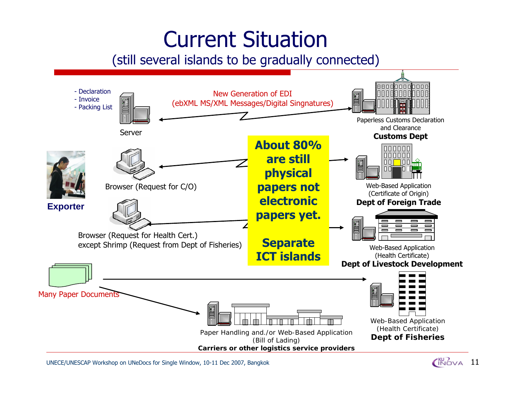# Current Situation

#### (still several islands to be gradually connected)



UNECE/UNESCAP Workshop on UNeDocs for Single Window, 10-11 Dec 2007, Bangkok 11

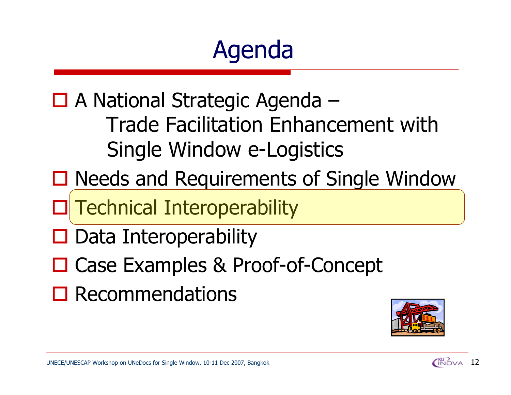# Agenda

□ A National Strategic Agenda – Trade Facilitation Enhancement with Single Window e-Logistics

- □ Needs and Requirements of Single Window
- Technical Interoperability
- $\square$  Data Interoperability
- □ Case Examples & Proof-of-Concept
- $\square$  Recommendations



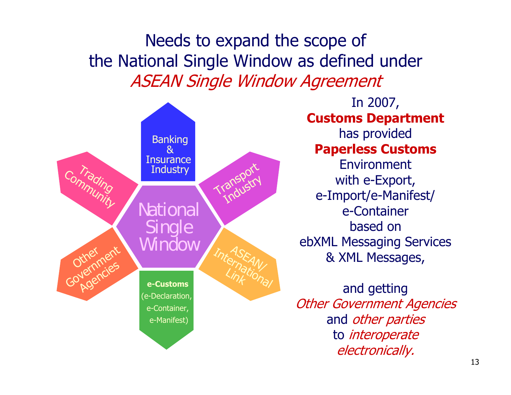Needs to expand the scope of the National Single Window as defined under ASEAN Single Window Agreement



In 2007, **Customs Department** has provided **Paperless Customs** Environmentwith e-Export, e-Import/e-Manifest/ e-Container based on ebXML Messaging Services & XML Messages,

and getting Other Government Agencies and other parties to interoperate electronically.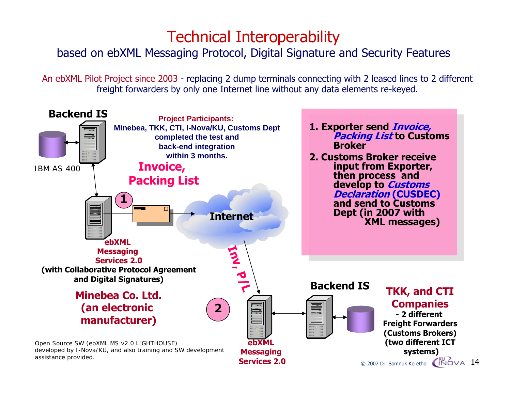### Technical Interoperability

#### based on ebXML Messaging Protocol, Digital Signature and Security Features

An ebXML Pilot Project since 2003 - replacing 2 dump terminals connecting with 2 leased lines to 2 different freight forwarders by only one Internet line without any data elements re-keyed.

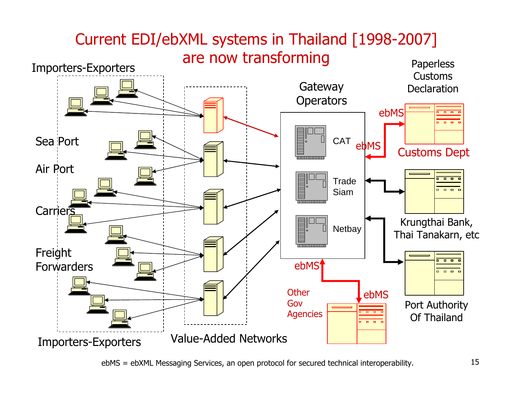

ebMS = ebXML Messaging Services, an open protocol for secured technical interoperability. 15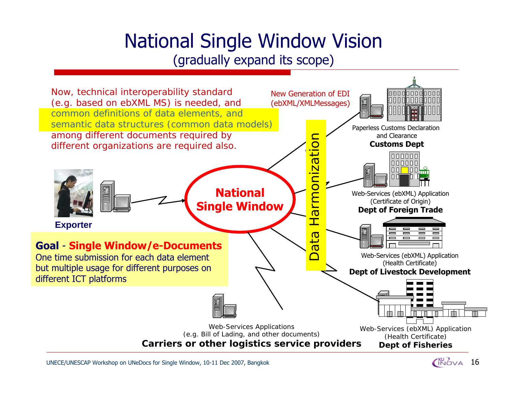### National Single Window Vision (gradually expand its scope)



UNECE/UNESCAP Workshop on UNeDocs for Single Window, 10-11 Dec 2007, Bangkok

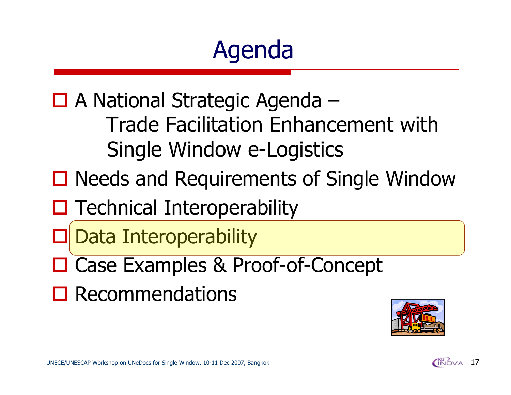# Agenda

□ A National Strategic Agenda – Trade Facilitation Enhancement with Single Window e-Logistics

□ Needs and Requirements of Single Window

 $\square$  Technical Interoperability

 $\Box$ Data Interoperability

- □ Case Examples & Proof-of-Concept
- $\square$  Recommendations



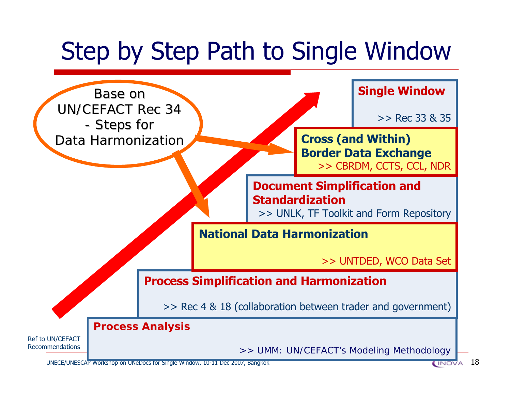# Step by Step Path to Single Window



UNECE/UNESCAP Workshop on UNeDocs for Single Window, 10-11 Dec 2007, Bangkok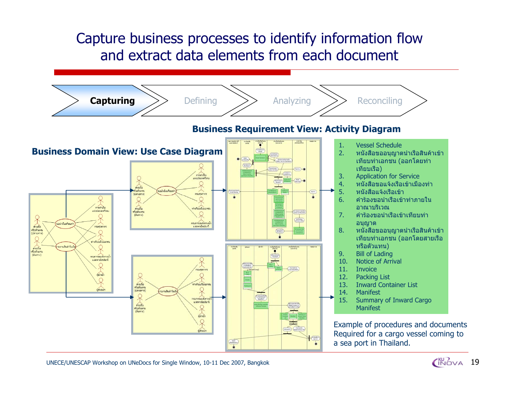### Capture business processes to identify information flow and extract data elements from each document



UNECE/UNESCAP Workshop on UNeDocs for Single Window, 10-11 Dec 2007, Bangkok

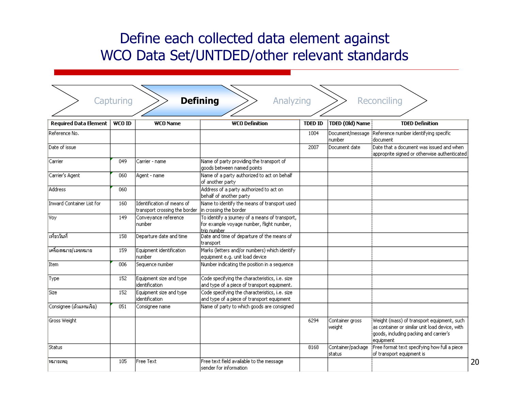### Define each collected data element against WCO Data Set/UNTDED/other relevant standards

|                              | Capturing     |                                                             | <b>Defining</b><br>Analyzing                                                                               |                |                             | Reconciling                                                                                                                                           |
|------------------------------|---------------|-------------------------------------------------------------|------------------------------------------------------------------------------------------------------------|----------------|-----------------------------|-------------------------------------------------------------------------------------------------------------------------------------------------------|
| <b>Required Data Element</b> | <b>WCO ID</b> | <b>WCO Name</b>                                             | <b>WCO Definition</b>                                                                                      | <b>TDED ID</b> | <b>TDED (Old) Name</b>      | <b>TDED Definition</b>                                                                                                                                |
| Reference No.                |               |                                                             |                                                                                                            | 1004           | Document/message<br>Inumber | Reference number identifying specific<br>idocument                                                                                                    |
| Date of issue                |               |                                                             |                                                                                                            | 2007           | Document date               | .<br>Date that a document was issued and when<br>approprite signed or otherwise authenticated                                                         |
| Carrier                      | 049           | Carrier - name                                              | Name of party providing the transport of<br>goods between named points                                     |                |                             |                                                                                                                                                       |
| Carrier's Agent              | 060           | Agent - name                                                | Name of a party authorized to act on behalf<br>of another party                                            |                |                             |                                                                                                                                                       |
| Address                      | 060           |                                                             | Address of a party authorized to act on<br>behalf of another party                                         |                |                             |                                                                                                                                                       |
| Inward Container List for    | 160           | Identification of means of<br>transport crossing the border | Name to identify the means of transport used<br>in crossing the border                                     |                |                             |                                                                                                                                                       |
| Voy                          | 149           | Conveyance reference<br>number                              | To identify a journey of a means of transport,<br>for example voyage number, flight number,<br>trip number |                |                             |                                                                                                                                                       |
| โเที่ยววันที่                | 158           | Departure date and time                                     | Date and time of departure of the means of<br>transport                                                    |                |                             |                                                                                                                                                       |
| เครื่องหมาย/เลขหมาย          | 159           | Equipment identification<br>number                          | Marks (letters and/or numbers) which identify<br>equipment e.g. unit load device                           |                |                             |                                                                                                                                                       |
| Item                         | 006           | Sequence number                                             | Number indicating the position in a sequence                                                               |                |                             |                                                                                                                                                       |
| Type                         | 152           | Equipment size and type<br>lidentification                  | Code specifying the characteristics, i.e. size<br>and type of a piece of transport equipment.              |                |                             |                                                                                                                                                       |
| Size                         | 152           | Equipment size and type<br>identification                   | Code specifying the characteristics, i.e. size<br>and type of a piece of transport equipment               |                |                             |                                                                                                                                                       |
| Consignee (ตัวแทนเรือ)       | 051           | Consignee name                                              | Name of party to which goods are consigned                                                                 |                |                             |                                                                                                                                                       |
| Gross Weight                 |               |                                                             |                                                                                                            | 6294           | Container gross<br>weight   | Weight (mass) of transport equipment, such<br>as container or similar unit load device, with<br>goods, including packing and carrier's  <br>equipment |
| <b>Status</b>                |               |                                                             |                                                                                                            | 8168           | Container/package<br>status | Free format text specifying how full a piece<br>of transport equipment is                                                                             |
| ∣หมายเหตุ                    | 105           | <b>Free Text</b>                                            | Free text field available to the message<br>sender for information                                         |                |                             |                                                                                                                                                       |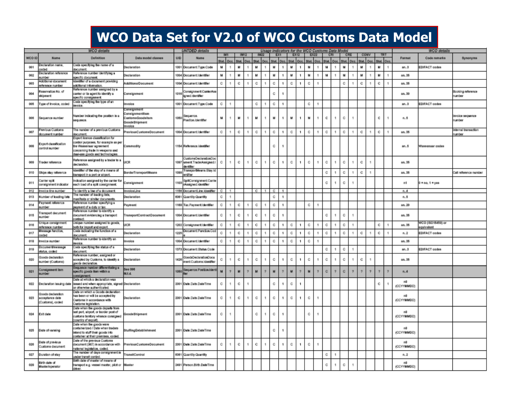#### **WCO Data Set for V2.0 of WCO Customs Data Model**

|        |                                                          | <b>WCO</b> details                                                                                                                                                         |                                                                |      | <b>UNTDED</b> details                                                    |                |                          |    |      |               |      |   |                | Usage indicators for the WCO Customs Data Model |                |              |            |              |                |    |     |             |            |     |               |                  | <b>WCO</b> details              |                                  |
|--------|----------------------------------------------------------|----------------------------------------------------------------------------------------------------------------------------------------------------------------------------|----------------------------------------------------------------|------|--------------------------------------------------------------------------|----------------|--------------------------|----|------|---------------|------|---|----------------|-------------------------------------------------|----------------|--------------|------------|--------------|----------------|----|-----|-------------|------------|-----|---------------|------------------|---------------------------------|----------------------------------|
|        |                                                          |                                                                                                                                                                            |                                                                |      |                                                                          |                | IM1                      |    | IM12 |               | IM22 |   | EX1            |                                                 | EX12           |              | EX22       |              | CRI            |    | CRE | COMV        |            | TRT |               |                  |                                 |                                  |
| WCO ID | Namo                                                     | Definition                                                                                                                                                                 | Data model classes                                             | UID  | Name                                                                     |                | <b>Net One</b>           |    | Öö.  | <b>Street</b> | Oes  |   |                |                                                 | On:            |              | Stat. Occ. | <b>Rited</b> | One            |    | Öcc | <b>Mark</b> | <b>CVN</b> |     | On.           | <b>Format</b>    | Code remarks                    | Synonyms                         |
| 001    | Declaration name.<br>baba:                               | Code specifying the name of a<br>document.                                                                                                                                 | Declaration                                                    |      | 1001 Document Type Code                                                  | м              | ٠                        | м  | 1    | м             |      | M |                | м                                               | 1              | м            | 1          | м            | $\mathbf{1}$   | м  |     | м           |            | м   | 1             | an.3             | <b>EDIFACT codes</b>            |                                  |
| 002    | Declaration reference                                    | Reference number identifying a                                                                                                                                             | Declaration                                                    |      | 1004 Document Identifier                                                 | M              |                          | м  |      | M             |      | M | 1              | M                                               | 1              | м            | ٠          | м            | ٠              | м  |     | м           |            | и   | 1             | an.35            |                                 |                                  |
| 003    | umber<br>Additional document                             | pecific document.<br>Identifier of a document providing                                                                                                                    | dditionalDocument                                              |      | 1004 Document Identifier                                                 | c              |                          | c  |      | c             |      | c | 1              | c                                               | 1              | c            | 1          |              |                | c  |     | c           |            | с   |               | an.38            |                                 |                                  |
| 004    | eterence number<br>teservation No. of<br>shipment        | dditional information.<br>Reference number assigned by a<br>carrier or its agent to identify a                                                                             | Consignment                                                    | 1016 | Consignment CarrietAss<br>igned.identifier                               |                |                          |    |      |               |      | c | -1             |                                                 |                |              |            |              |                |    |     |             |            |     |               | an. 30           |                                 | Booking reference<br>number      |
| 005    | ype of Invoice, coded                                    | specific consignment.<br>Code specifying the type of an                                                                                                                    | Invoice                                                        |      | 1001 Document Type Code                                                  | c              | ٠                        |    |      | c             | ń    | с |                |                                                 |                | c            | ÷          |              |                |    |     |             |            |     |               | an.3             | <b>EDIFACT codes</b>            |                                  |
|        |                                                          | invoice.                                                                                                                                                                   | Consignment                                                    |      |                                                                          |                |                          |    |      |               |      |   |                |                                                 |                |              |            |              |                |    |     |             |            |     |               |                  |                                 |                                  |
| 008    | Sequence number                                          | Number indicating the position in a<br>sequence.                                                                                                                           | consignmentitem<br>metiabooDamoteu:<br>GoodsShipment<br>asionn | 1060 | Seguence.<br>Position.identifier                                         | м              |                          | м  |      | м             | 1    | м | $\mathbf{1}$   | м                                               | 1              | м            | 1          | c            | 1              | c  |     |             |            | c   | 1             | n.8              |                                 | invoice sequence<br><b>umber</b> |
| 007    | Previous Customs<br>document number                      | The number of a previous Customs<br><b>Socument</b>                                                                                                                        | Previous Customs Document                                      |      | 1004 Document Identifier                                                 | c              | ٠                        | C. | 1    | c             | ٠    | c | 1              | c                                               | -1             | c            | ٠          | c            | $\mathbf{1}$   | c  | ×   | c           |            | с   | 1             | an.35            |                                 | Internal transaction<br>umber    |
| 008    | Export classification<br>tedmun lorinos                  | Export licence classification for<br>control purposes, for example as per<br>the Wassensar agreement<br>concerning trade in weapons and<br>dual-use goods and technologies | Commodity                                                      |      | 1154 Reference.identifier                                                |                |                          |    |      |               |      | с | -1             |                                                 |                |              |            |              |                |    |     |             |            |     |               | an.5             | Wassensar codes                 |                                  |
| 009    | <b>Trader reference</b>                                  | Reference assigned by a trader to a<br>declaration.                                                                                                                        | UCR                                                            |      | <b>CustomsDeclarationDoc</b><br>1097 ument.TradenAssigned.t<br>dentifier | c              |                          | C. | 1    | c             |      | c | л.             | c                                               | 1              | c            |            | c            |                | C. |     | c           |            |     |               | an.35            |                                 |                                  |
| 010    | Ships stay reference                                     | identifier of the stay of a means of<br>transport in a port or airport.                                                                                                    | <b>BorderTransportMeans</b>                                    | 1003 | FransportMeans.Stay.Id<br>entitler                                       |                |                          |    |      |               |      |   |                |                                                 |                |              |            | c            | 1              | c  | ٠   | c           |            |     |               | an.35            |                                 | Call reference number            |
| 011    | Sarrier solit<br>consignment indicator                   | ndication assigned by the carrier for<br>schloed of a spit consignment.                                                                                                    | Consignment                                                    | 1103 | spillConsignment Carrie<br>rAssigned.ldentifier                          |                |                          |    |      |               |      |   |                |                                                 |                |              |            | C.           |                | c  |     |             |            |     |               | mt               | $0 = no, 1 = yes$               |                                  |
| 012    | Invoice line number                                      | To identify a line of a document.                                                                                                                                          | InvolceLine                                                    |      | 1156 DocumentLine.klentifer                                              | c.             | $\overline{\phantom{a}}$ |    |      | c             |      | c | $\blacksquare$ |                                                 |                |              |            |              |                |    |     |             |            |     |               | n.A              |                                 |                                  |
| 013    | Number of loading lists                                  | The number of loading lists,<br>nanifesta or similar documents.                                                                                                            | Declaration                                                    |      | 6061 Quartity Quartity                                                   | c              | ×                        |    |      |               |      | c | -1             |                                                 |                |              |            |              |                |    |     |             |            |     |               | n. 8             |                                 |                                  |
| 014    | wyment reference<br>number                               | Reference number specifying a<br>payment of a duty or tax.                                                                                                                 | Paymont                                                        |      | 1168 Tax.Payment.Identifier                                              | c              | ٠                        | c  | 1    | c             | f,   | c | 1              |                                                 |                | c            | 1          |              |                |    |     |             |            |     |               | an.20            |                                 |                                  |
| 015    | ranaport document<br>number                              | Reference number to identity a<br>document evidencing a transport<br>ontract.                                                                                              | TransportContractDocument                                      |      | 1004 Document Identifier                                                 | $\mathbb{C}$ . |                          | c  | 1    | c             |      | c |                |                                                 |                |              |            | c            |                | c  |     |             |            |     |               | an.35            |                                 |                                  |
| 016    | Inque consignment<br>teference number                    | Unique number assigned to goods,<br>both for import and export                                                                                                             | UCR                                                            |      | 1202 Consignment Identifier                                              | c              |                          | с  |      | c             |      | Ć |                | c                                               |                | c            |            | с            |                | c  |     |             |            | с   | ٠             | an.35            | WCO (ISO15459) or<br>tnsteviup: |                                  |
| 017    | <i><b>Jessage function</b></i><br>babo:                  | Code indicating the function of a<br>document.                                                                                                                             | Declaration                                                    | 1225 | Document Function Cod                                                    | c              |                          | с  |      | c             |      | c |                | c                                               | 1              | c            |            | c            | 1              | c  |     | c           |            | с   | 1             | $n_{-2}$         | <b>EDIFACT codes</b>            |                                  |
| 018    | Invoice number                                           | Reference number to identity an<br>nvoice.                                                                                                                                 | asionn                                                         |      | 1004 Document Identifier                                                 | c              |                          | с  |      | c             |      | с | -1             | c                                               | -1             | c            |            |              |                |    |     |             |            |     |               | an.35            |                                 |                                  |
| 019    | Document/inessage<br>status, coded                       | Code specifying the status of a<br>document.                                                                                                                               | Declaration                                                    |      | 1373 Document Status Code                                                |                |                          |    |      |               |      |   |                |                                                 |                |              |            | c            |                | c  |     |             |            |     |               | an.3             | <b>EDIFACT codes</b>            |                                  |
| 020    | Goods declaration<br>number (Customs)                    | Reference number, assigned or<br>accepted by Customs, to identify a<br>goods declaration.                                                                                  | Declaration                                                    | 1428 | GoodsDeclarationDocu<br>ment Customs.identifier                          | c              |                          | C. | 1    | c             |      | с | -1             | c                                               | 1              | c            |            | c            |                | c  |     | c           |            |     |               | an.35            |                                 |                                  |
| 021    | analgrunent item<br>number                               | Sequence number differentiating a<br>specific goods from within a<br>consignment                                                                                           | See 008<br>M.f.d.                                              | 1050 | Sequence.Position.Ident                                                  | M              |                          | м  | ð    | M             |      | M |                | M                                               | $\overline{2}$ | $\mathbf{M}$ | 2          | c.           | $\overline{2}$ | c. | Ÿ.  | ÷           |            | Ŷ.  | $\ddot{\tau}$ | n.A              |                                 |                                  |
| 022    | Declaration issuing date                                 | Date at which a declaration was<br>issued and when appropriate, signed Declaration<br>or otherwise authoriticated.                                                         |                                                                |      | 2001 Date Date Date Time                                                 | c              |                          | o  | 1    |               |      | c | -1             | C.                                              | 1              |              |            |              |                |    |     |             |            | c   |               | nā<br>(CCYYMMDD) |                                 |                                  |
| 023    | Goods declaration<br>acceptance date<br>(Customs), coded | Date on which a Goods declaration<br>has been or will be accepted by<br>Customs in accordance with<br>Customs legislation.                                                 | Declaration                                                    |      | 2001 Date Date Date Time                                                 | c              |                          | C. | 1    | c             |      | c | -1.            | Ċ.                                              | 1              | c            | f,         |              |                |    |     |             |            |     |               | nā<br>(CCYYMMDD) |                                 |                                  |
| 024    | Exit date                                                | Date when the goods departs from<br>last port, airport, or border post of<br>customs territory whence consigned<br>(country of export).                                    | GoodsShipment                                                  |      | 2001 Date Date Date Time                                                 | c              |                          |    |      | c             |      | c | -1             |                                                 |                | c            |            |              |                |    |     |             |            |     |               | n8<br>(CCYYMMDD) |                                 |                                  |
| 025    | Date of vanning                                          | Date when the goods were<br>containerized / Date when traders<br>citi aboop tient that to bradti<br>container at their premises, coded.                                    | StuffingEstablishment                                          |      | 2001 Date Date Date Time                                                 |                |                          |    |      |               |      | c | -1             |                                                 |                |              |            |              |                |    |     |             |            |     |               | n8<br>(CCYYMMDD) |                                 |                                  |
| 026    | bate of previous<br>hemuogis emotaul                     | Date of the previous Customs<br>document (007) in accordance with<br>ational legislation, coded.                                                                           | Previous Customs Document                                      |      | 2001 Date Date Date Time                                                 | c              | ٠                        | C. | 1    | c             |      | c | -1.            | C.                                              | 1              | c            | 1          |              |                |    |     |             |            |     |               | n8<br>(CCYYMMDD) |                                 |                                  |
| 027    | Duration of stay                                         | The number of days consignment is<br><b>Inder transit control.</b>                                                                                                         | ransitControl                                                  |      | 6061 Quartity Quartity                                                   |                |                          |    |      |               |      |   |                |                                                 |                |              |            | c            | 1              |    |     |             |            |     |               | n. 2             |                                 |                                  |
| 028    | Birth date of<br>Master/operator                         | Birth date of master of means of<br>transport e.g. vessel master, pilot or Master<br>driver.                                                                               |                                                                |      | 2491 Person Birth DateTime                                               |                |                          |    |      |               |      |   |                |                                                 |                |              |            | c            | 1              | c  |     |             |            |     |               | n8<br>(CCYYMMDD) |                                 |                                  |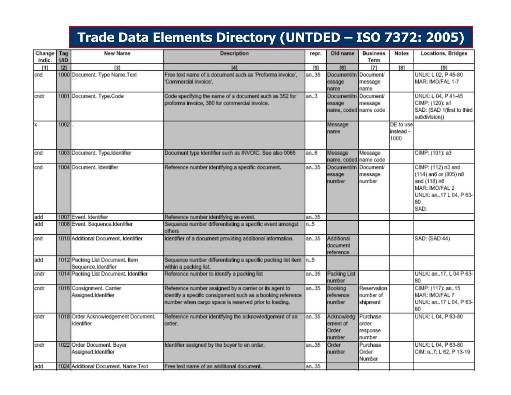#### **Trade Data Elements Directory (UNTDED – ISO 7372: 2005)**

| Change<br>indic. | Tag<br><b>UID</b> | New Name                                                | Description                                                                                                                                                                    | repr. | Old name                                      | <b>Business</b><br>Term                 | <b>Notes</b>                   | Locations, Bridges                                                                                                    |
|------------------|-------------------|---------------------------------------------------------|--------------------------------------------------------------------------------------------------------------------------------------------------------------------------------|-------|-----------------------------------------------|-----------------------------------------|--------------------------------|-----------------------------------------------------------------------------------------------------------------------|
| [1]              | [2]               | 131                                                     | [4]                                                                                                                                                                            | [5]   | [6]                                           | 71                                      | [8]                            | [9]                                                                                                                   |
| and              |                   | 1000 Document. Type Name. Text                          | Free text name of a document such as 'Proforma invoice',<br>Commercial invoice'.                                                                                               | an35  | Document/m Document/<br>essage<br>name        | message<br>name                         |                                | UNLK: L 02, P 45-80<br>MAR: IMO/FAL 1-7                                                                               |
| andr             |                   | 1001 Document. Type.Code                                | Code specifying the name of a document such as 352 for<br>proforma invoice, 380 for commercial invoice.                                                                        | an.3  | Document/m<br>essage<br>name, coded name code | Document/<br>message                    |                                | UNLK: L 04, P 41-45<br>CIMP: (120): a1<br>SAD: (SAD 1(first to third<br>subdivision))                                 |
| x                | 1002              |                                                         |                                                                                                                                                                                |       | Message<br>name                               |                                         | DE to use<br>instead -<br>1000 |                                                                                                                       |
| and              |                   | 1003 Document. Type.Identifier                          | Document type identifier such as INVOIC. See also 0065                                                                                                                         | an6   | Message<br>name, coded name code              | Message                                 |                                | CIMP: (101): a3                                                                                                       |
| and              |                   | 1004 Document. Identifier                               | Reference number identifying a specific document.                                                                                                                              | an35  | Document/m Document/<br>essage<br>number      | message<br>number                       |                                | CIMP: (112) n3 and<br>(114) an6 or (805) n8<br>and (118) n6<br>MAR: IMO/FAL 2<br>UNLK: an17 L 04, P 63-<br>80<br>SAD: |
| add              |                   | 1007 Event. Identifier                                  | Reference number identifying an event.                                                                                                                                         | an35  |                                               |                                         |                                |                                                                                                                       |
| add              |                   | 1008 Event. Sequence.Identifier                         | Sequence number differentiating a specific event amongst<br>others                                                                                                             | n.5   |                                               |                                         |                                |                                                                                                                       |
| and              |                   | 1010 Additional Document. Identifier                    | Identifier of a document providing additional information.                                                                                                                     | an35  | Additional<br>document<br>reference           |                                         |                                | SAD: (SAD 44)                                                                                                         |
| add              |                   | 1012 Packing List Document. Item<br>Sequence.Identifier | Sequence number differentiating a specific packing list item<br>within a packing list.                                                                                         | ln5   |                                               |                                         |                                |                                                                                                                       |
| andr             |                   | 1014 Packing List Document. Identifier                  | Reference number to identify a packing list                                                                                                                                    | an35  | Packing List<br>number                        |                                         |                                | UNLK: an17, L 04 P 63-<br>80                                                                                          |
| andr             |                   | 1016 Consignment. Carrier<br>Assigned.Identifier        | Reference number assigned by a carrier or its agent to<br>identify a specific consignment such as a booking reference<br>number when cargo space is reserved prior to loading. | an35  | Booking<br>reference<br>number                | Reservation<br>number of<br>shipment    |                                | CIMP: (117): an15<br>MAR: IMO/FAL 7<br>UNLK: an17 L 04, P 63-<br>80                                                   |
| andr             |                   | 1018 Order Acknowledgement Document.<br>Identifier      | Reference number identifying the acknowledgement of an<br>order.                                                                                                               | an35  | Acknowledg<br>ement of<br>Order<br>number     | Purchase<br>order<br>response<br>number |                                | UNLK: L 04, P 63-80                                                                                                   |
| andr             |                   | 1022 Order Document. Buyer<br>Assigned.Identifier       | Identifier assigned by the buyer to an order.                                                                                                                                  | an35  | Order<br>number                               | Purchase<br>Order<br>Number             |                                | UNLK: L 04, P 63-80<br>CIM: n7; L 62, P 13-19                                                                         |
| add              |                   | 1024 Additional Document. Name.Text                     | Free text name of an additional document.                                                                                                                                      | an35  |                                               |                                         |                                |                                                                                                                       |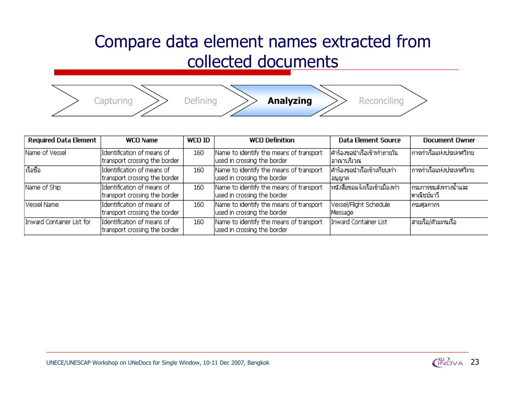### Compare data element names extracted from collected documents

Capturing >> Defining >> **Analyzing** >> Reconciling

| <b>Required Data Element</b> | <b>WCO Name</b>                                             | WCO ID | <b>WCO Definition</b>                                                  | <b>Data Element Source</b>                | <b>Document Owner</b>                 |
|------------------------------|-------------------------------------------------------------|--------|------------------------------------------------------------------------|-------------------------------------------|---------------------------------------|
| Name of Vessel               | Identification of means of<br>transport crossing the border | 160    | Name to identify the means of transport<br>used in crossing the border | ่คำร้องขอนำเรือเข้าทำภายใน<br> อาณาบริเวณ | การทำเรือแห่งประเทศใหย <sub>่</sub>   |
| เรือชื่อ                     | Identification of means of<br>transport crossing the border | 160    | Name to identify the means of transport<br>used in crossing the border | คำร้องขอนำเรือเข้าเทียบท่า<br> อนุญาต     | การท่าเรือแห่งประเทศไทย               |
| Name of Ship                 | Identification of means of<br>transport crossing the border | 160    | Name to identify the means of transport<br>used in crossing the border | ไหนังสือขอแจ้งเรือเข้าเมืองท่า            | กรมการขนส่งทางน้ำและ <br>∣พาณิชย์นาวี |
| Vessel Name                  | Identification of means of<br>transport crossing the border | 160    | Name to identify the means of transport<br>used in crossing the border | Vessel/Flight Schedule<br>Message         | กรมศุลกากร_                           |
| Inward Container List for    | Identification of means of<br>transport crossing the border | 160    | Name to identify the means of transport<br>used in crossing the border | Inward Container List                     | สายเรือ/ตัวแทนเรือ                    |
|                              |                                                             |        |                                                                        |                                           |                                       |

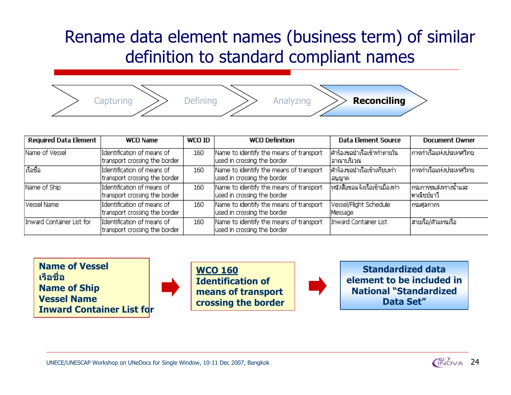### Rename data element names (business term) of similar definition to standard compliant names



| <b>WCO Name</b>                                             | WCO ID | <b>WCO Definition</b> | Data Element Source                                                                                                                                                                                                                                                                                                                                                            | <b>Document Owner</b>                                                                                                                                                    |
|-------------------------------------------------------------|--------|-----------------------|--------------------------------------------------------------------------------------------------------------------------------------------------------------------------------------------------------------------------------------------------------------------------------------------------------------------------------------------------------------------------------|--------------------------------------------------------------------------------------------------------------------------------------------------------------------------|
| Identification of means of<br>transport crossing the border | 160    |                       |                                                                                                                                                                                                                                                                                                                                                                                | ไการทำเรือแห่งประเทศใทย                                                                                                                                                  |
| Identification of means of<br>transport crossing the border | 160    |                       |                                                                                                                                                                                                                                                                                                                                                                                | การท่าเรือแห่งประเทศไทย                                                                                                                                                  |
| Identification of means of<br>transport crossing the border | 160    |                       |                                                                                                                                                                                                                                                                                                                                                                                | ไกรมการขนส่งทางน้ำและ i<br>∣พาณิชย์นาวี                                                                                                                                  |
| Identification of means of<br>transport crossing the border | 160    |                       | Message                                                                                                                                                                                                                                                                                                                                                                        | กรมศุลกากร_                                                                                                                                                              |
| Identification of means of<br>transport crossing the border | 160    |                       |                                                                                                                                                                                                                                                                                                                                                                                | ∣สายเรือ/ตัวแทนเรือ                                                                                                                                                      |
|                                                             |        |                       | Name to identify the means of transport<br>used in crossing the border<br>Name to identify the means of transport<br>used in crossing the border<br>Name to identify the means of transport<br>used in crossing the border<br>Name to identify the means of transport<br>used in crossing the border<br>Name to identify the means of transport<br>used in crossing the border | ศาร้องขอนำเรือเข้าทำภายใน <br>∣อาณาบริเวณ−<br>คำร้องขอนำเรือเข้าเทียบท่า<br> อนุญาต<br>ไหนังสือขอแจ้งเรือเข้าเมืองท่า<br>Vessel/Flight Schedule<br>Inward Container List |

**Name of Vesselเรือชื่อName of Ship Vessel NameInward Container List for**



**WCO 160Identification of means of transport crossing the border**



**Standardized data element to be included in National "Standardized Data Set"**

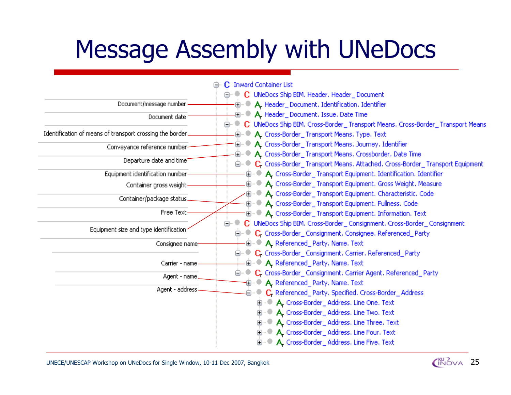# Message Assembly with UNeDocs

|                                                           | C Inward Container List                                                                                                                       |
|-----------------------------------------------------------|-----------------------------------------------------------------------------------------------------------------------------------------------|
|                                                           | <b>E. C. UNeDocs Ship BIM, Header, Header_Document</b>                                                                                        |
| Document/message number                                   | · (iii) ● A. Header_Document, Identification, Identifier                                                                                      |
| Document date                                             | <b>(a)</b> ● A. Header_Document, Issue, Date Time                                                                                             |
| Identification of means of transport crossing the border. | ⊜…● C UNeDocs Ship BIM, Cross-Border_ Transport Means, Cross-Border_ Transport Mean<br><b>( A</b> Cross-Border_Transport Means, Type, Text    |
| Conveyance reference number-                              | <b>(iii)</b> ● <b>A.</b> Cross-Border_Transport Means. Journey. Identifier<br>(iii)…● A. Cross-Border_Transport Means. Crossborder. Date Time |
| Departure date and time                                   | <b>E. C.</b> Cross-Border_Transport Means. Attached. Cross-Border_Transport Equipment                                                         |
| Equipment identification number-                          | O. A. Cross-Border_Transport Equipment. Identification. Identifier                                                                            |
| Container gross weight                                    | (iiii) ● A. Cross-Border_Transport Equipment. Gross Weight. Measure                                                                           |
| Container/package status.                                 | ⊕…® А. Cross-Border_Transport Equipment. Characteristic. Code<br>O Read A. Cross-Border_Transport Equipment, Fullness, Code                   |
| Free Text-                                                | <b>(B)</b> ● A. Cross-Border_Transport Equipment. Information. Text                                                                           |
| Equipment size and type identification                    | C UNeDocs Ship BIM, Cross-Border_Consignment, Cross-Border_Consignment<br>ê~€<br>O C Cross-Border_Consignment. Consignee. Referenced_Party    |
| Consignee name                                            | <b>(a)</b> ● A. Referenced_Party, Name, Text                                                                                                  |
|                                                           | □…… C. Cross-Border_Consignment. Carrier. Referenced_Party                                                                                    |
| Carrier - name                                            | <b>(a)</b> ● A. Referenced_Party, Name, Text                                                                                                  |
| Agent - name.                                             | □…… C. Cross-Border_Consignment. Carrier Agent. Referenced_Party                                                                              |
| Agent - address                                           | in ● A. Referenced_Party, Name, Text<br>⊕… C. Referenced_Party, Specified, Cross-Border_Address                                               |
|                                                           | □…● A. Cross-Border_Address, Line One, Text                                                                                                   |
|                                                           | □…● A. Cross-Border_Address, Line Two, Text                                                                                                   |
|                                                           | (iii)…● A. Cross-Border_Address, Line Three, Text                                                                                             |
|                                                           | (iii)…● A. Cross-Border_Address, Line Four, Text                                                                                              |
|                                                           | 由…● A. Cross-Border_Address, Line Five, Text                                                                                                  |

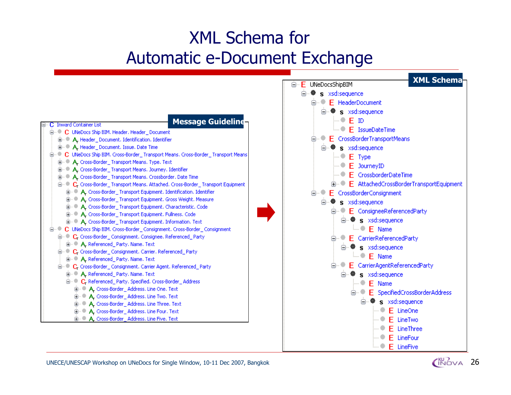### XML Schema for Automatic e-Document Exchange



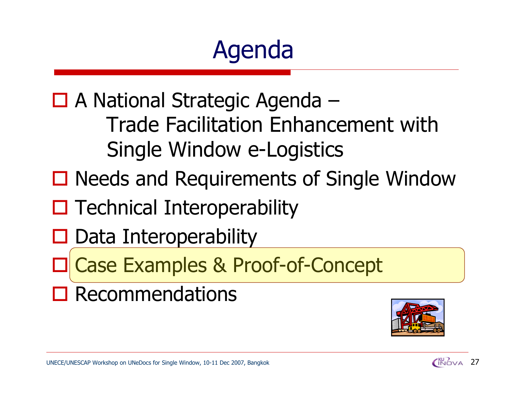# Agenda

□ A National Strategic Agenda – Trade Facilitation Enhancement with Single Window e-Logistics

- □ Needs and Requirements of Single Window
- $\square$  Technical Interoperability
- $\square$  Data Interoperability
- $\Box$ Case Examples & Proof-of-Concept
- $\square$  Recommendations



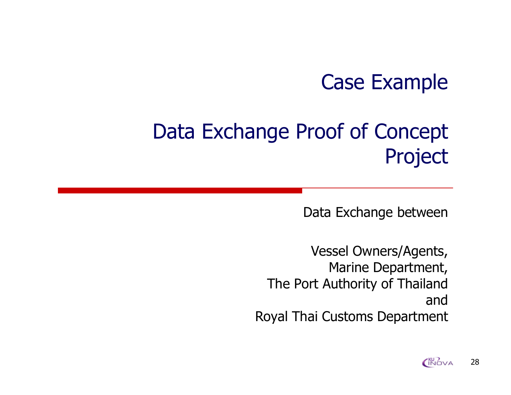## Case Example

# Data Exchange Proof of Concept Project

Data Exchange between

Vessel Owners/Agents, Marine Department, The Port Authority of Thailand andRoyal Thai Customs Department

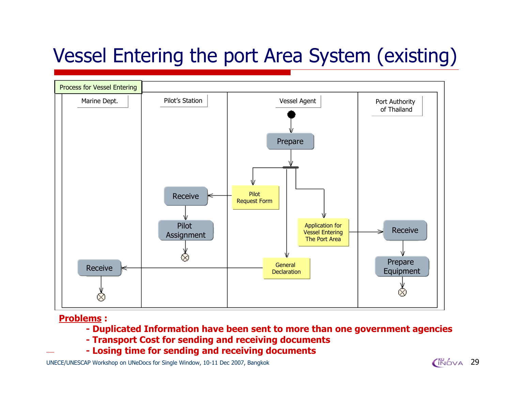## Vessel Entering the port Area System (existing)



#### **Problems :**

- **- Duplicated Information have been sent to more than one government agencies**
- **- Transport Cost for sending and receiving documents**
- **- Losing time for sending and receiving documents**

UNECE/UNESCAP Workshop on UNeDocs for Single Window, 10-11 Dec 2007, Bangkok 2007, 2007, 2007, 2008, 29

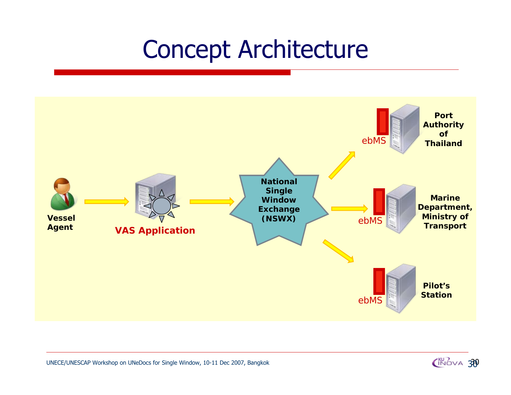# Concept Architecture



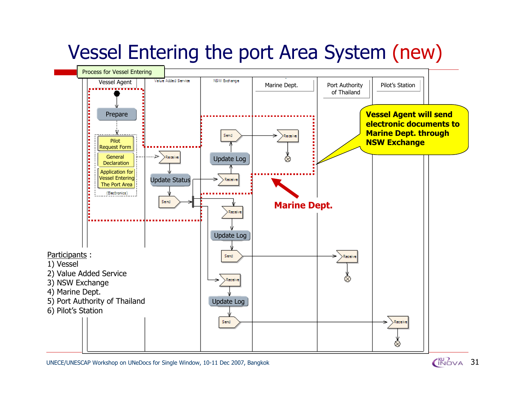## Vessel Entering the port Area System (new)



UNECE/UNESCAP Workshop on UNeDocs for Single Window, 10-11 Dec 2007, Bangkok  $\begin{pmatrix} 80 \\ 1 \end{pmatrix}$ 

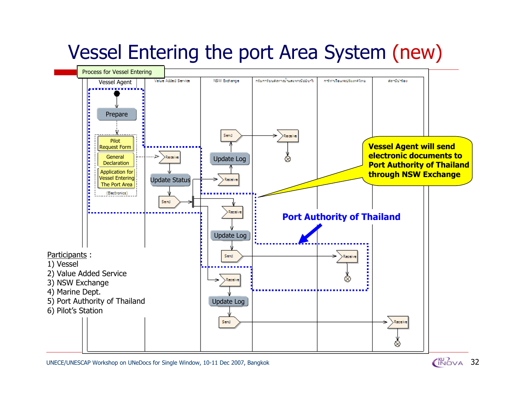## Vessel Entering the port Area System (new)



UNECE/UNESCAP Workshop on UNeDocs for Single Window, 10-11 Dec 2007, Bangkok 32

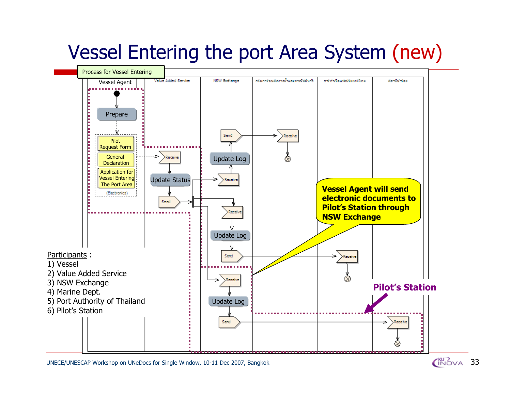## Vessel Entering the port Area System (new)



UNECE/UNESCAP Workshop on UNeDocs for Single Window, 10-11 Dec 2007, Bangkok

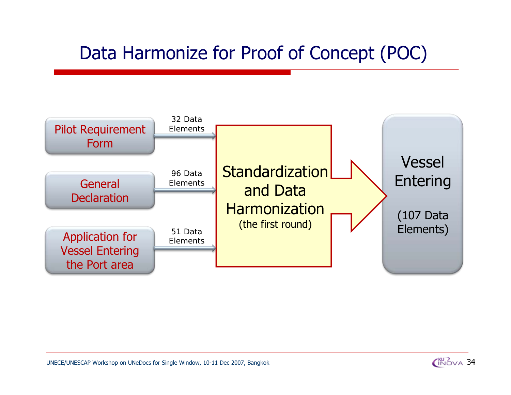## Data Harmonize for Proof of Concept (POC)



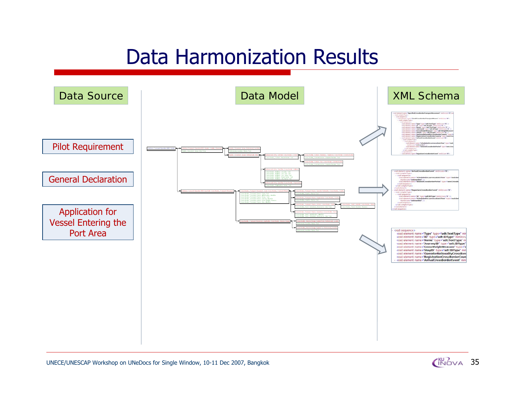## Data Harmonization Results



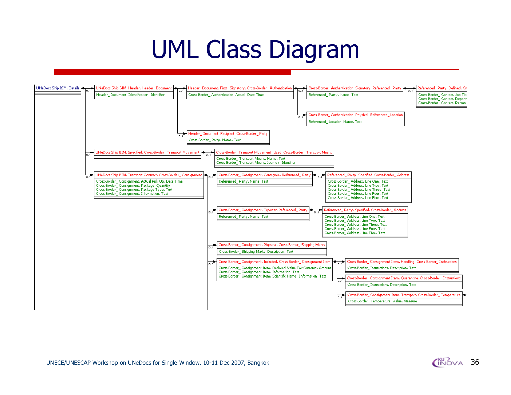# UML Class Diagram



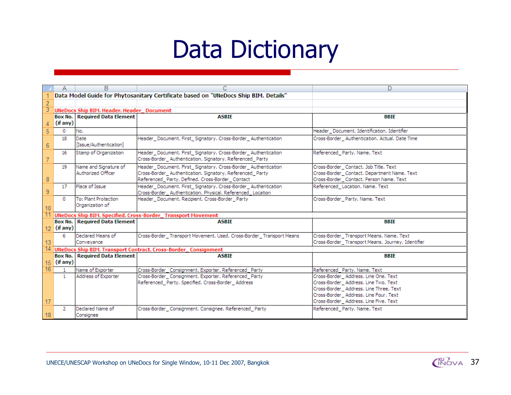# Data Dictionary

|                 |               | B                                                |                                                                                                           | D.                                                                           |
|-----------------|---------------|--------------------------------------------------|-----------------------------------------------------------------------------------------------------------|------------------------------------------------------------------------------|
|                 |               |                                                  | Data Model Guide for Phytosanitary Certificate based on "UNeDocs Ship BIM. Details"                       |                                                                              |
| $\overline{2}$  |               |                                                  |                                                                                                           |                                                                              |
|                 |               | <b>UNeDocs Ship BIM. Header. Header_Document</b> |                                                                                                           |                                                                              |
|                 |               | <b>Box No.   Required Data Element</b>           | <b>ASBIE</b>                                                                                              | <b>BBIE</b>                                                                  |
|                 | (if any)      |                                                  |                                                                                                           |                                                                              |
| 5               | 0             | No.                                              |                                                                                                           | Header Document, Identification, Identifier                                  |
|                 | 18            | Date                                             | Header Document, First Signatory, Cross-Border Authentication                                             | Cross-Border Authentication. Actual. Date Time                               |
| $6\phantom{.}6$ |               | [Issue/Authentication]                           |                                                                                                           |                                                                              |
|                 | 16            | Stamp of Organization                            | Header_Document. First_Signatory. Cross-Border_Authentication                                             | Referenced_Party. Name. Text                                                 |
|                 |               |                                                  | Cross-Border Authentication. Signatory. Referenced Party                                                  |                                                                              |
|                 | 19            | Name and Signature of                            | Header_Document. First_Signatory. Cross-Border_Authentication                                             | Cross-Border Contact, Job Title, Text                                        |
|                 |               | Authorized Officer                               | Cross-Border Authentication. Signatory. Referenced Party                                                  | Cross-Border Contact, Department Name, Text                                  |
| 8               |               |                                                  | Referenced_Party. Defined. Cross-Border_Contact                                                           | Cross-Border_Contact. Person Name. Text                                      |
|                 | 17            | Place of Issue                                   | Header_Document. First_Signatory. Cross-Border_Authentication                                             | Referenced_Location. Name. Text                                              |
| 9               |               | To: Plant Protection                             | Cross-Border_Authentication. Physical. Referenced_Location                                                |                                                                              |
|                 | $^{\circ}$    | Organization of                                  | Header Document, Recipient, Cross-Border Party                                                            | Cross-Border Party, Name, Text                                               |
| 10              |               |                                                  |                                                                                                           |                                                                              |
| 11              |               |                                                  | UNeDocs Ship BIM. Specified. Cross-Border_Transport Movement                                              |                                                                              |
|                 |               | <b>Box No.   Required Data Element</b>           | <b>ASBIE</b>                                                                                              | <b>BBIE</b>                                                                  |
|                 | $12$ (if any) |                                                  |                                                                                                           |                                                                              |
|                 | 6             | Declared Means of                                | Cross-Border_Transport Movement. Used. Cross-Border_Transport Means                                       | Cross-Border Transport Means, Name, Text                                     |
| 13              |               | Conveyance                                       |                                                                                                           | Cross-Border Transport Means, Journey, Identifier                            |
|                 |               |                                                  | 14 UNeDocs Ship BIM. Transport Contract. Cross-Border_Consignment                                         |                                                                              |
|                 |               | Box No.   Required Data Element                  | <b>ASBIE</b>                                                                                              | <b>BBIE</b>                                                                  |
|                 | $15$ (if any) |                                                  |                                                                                                           |                                                                              |
| 16              | $\mathbf{1}$  | Name of Exporter                                 | Cross-Border_Consignment. Exporter. Referenced_Party                                                      | Referenced Party, Name, Text                                                 |
|                 |               | Address of Exporter                              | Cross-Border Consignment, Exporter, Referenced Party<br>Referenced_Party. Specified. Cross-Border_Address | Cross-Border Address, Line One, Text<br>Cross-Border Address, Line Two, Text |
|                 |               |                                                  |                                                                                                           | Cross-Border_Address, Line Three, Text                                       |
|                 |               |                                                  |                                                                                                           | Cross-Border_Address. Line Four. Text                                        |
| 17              |               |                                                  |                                                                                                           | Cross-Border_Address, Line Five, Text                                        |
|                 | 2.            | Declared Name of                                 | Cross-Border_Consignment. Consignee. Referenced_Party                                                     | Referenced Party, Name, Text                                                 |
| 18              |               | Consignee                                        |                                                                                                           |                                                                              |

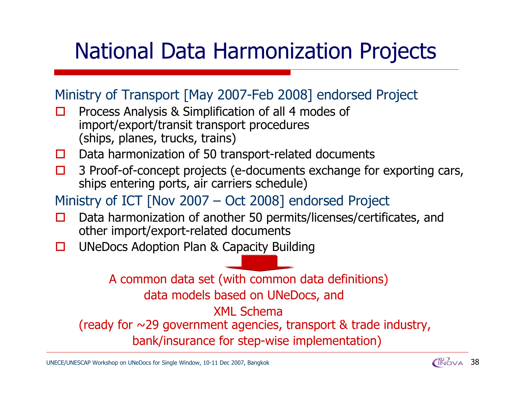# National Data Harmonization Projects

### Ministry of Transport [May 2007-Feb 2008] endorsed Project

- $\Box$  Process Analysis & Simplification of all 4 modes of import/export/transit transport procedures (ships, planes, trucks, trains)
- $\Box$ Data harmonization of 50 transport-related documents
- $\Box$  3 Proof-of-concept projects (e-documents exchange for exporting cars, ships entering ports, air carriers schedule)
- Ministry of ICT [Nov 2007 Oct 2008] endorsed Project
- П Data harmonization of another 50 permits/licenses/certificates, and other import/export-related documents
- П UNeDocs Adoption Plan & Capacity Building

A common data set (with common data definitions) data models based on UNeDocs, and XML Schema(ready for ~29 government agencies, transport & trade industry, bank/insurance for step-wise implementation)

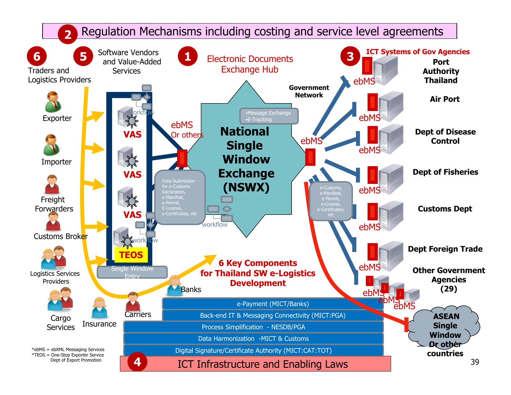#### Regulation Mechanisms including costing and service level agreements **2**

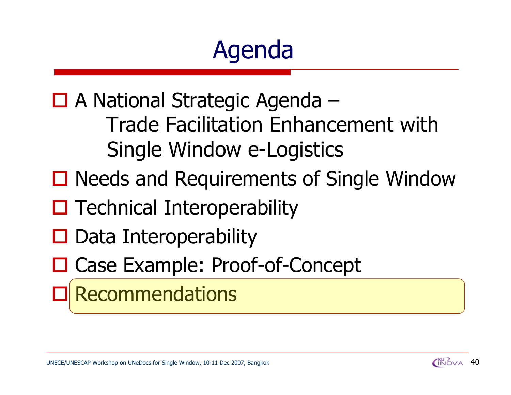# Agenda

□ A National Strategic Agenda – Trade Facilitation Enhancement with Single Window e-Logistics

- □ Needs and Requirements of Single Window
- $\square$  Technical Interoperability
- $\square$  Data Interoperability
- □ Case Example: Proof-of-Concept

#### $\Box$ Recommendations

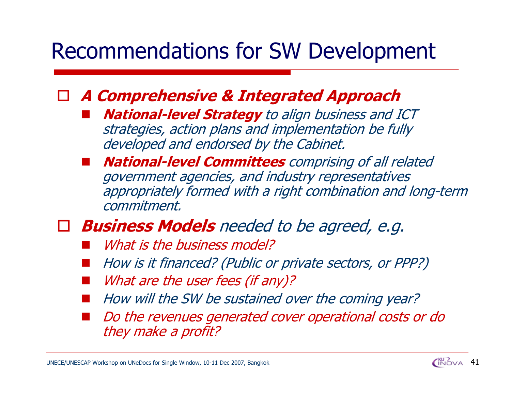# Recommendations for SW Development

### **A Comprehensive & Integrated Approach**

- **National-level Strategy** to align business and ICT strategies, action plans and implementation be fully developed and endorsed by the Cabinet.
- **National-level Committees** comprising of all related government agencies, and industry representatives appropriately formed with a right combination and long-term commitment.

### **Business Models** needed to be agreed, e.g.

- What is the business model?
- How is it financed? (Public or private sectors, or PPP?)
- What are the user fees (if any)?
- How will the SW be sustained over the coming year?
- Do the revenues generated cover operational costs or do they make a profit?

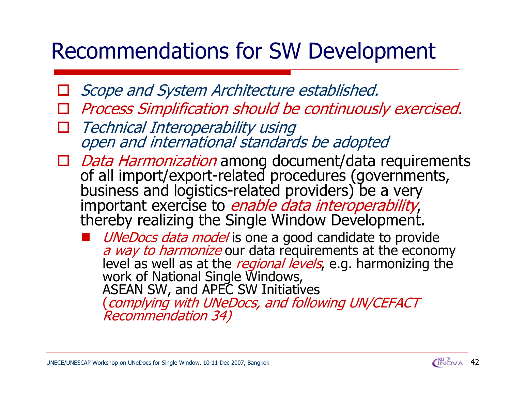# Recommendations for SW Development

- $\Box$ Scope and System Architecture established.
- $\Box$ Process Simplification should be continuously exercised.
- $\Box$ Technical Interoperability using open and international standards be adopted
- □ Data Harmonization among document/data requirements of all import/export-related procedures (governments, business and logistics-related providers) be a very important exercise to *enable data interoperability*, thereby realizing the Single Window Development.
	- UNeDocs data model is one a good candidate to provide<br>a way to harmonize our data requirements at the economy<br>level as well as at the *regional levels*, e.g. harmonizing the work of National Single Windows, ASEAN SW, and APEC SW Initiatives (complying with UNeDocs, and following UN/CEFACT<br>Recommendation 34)

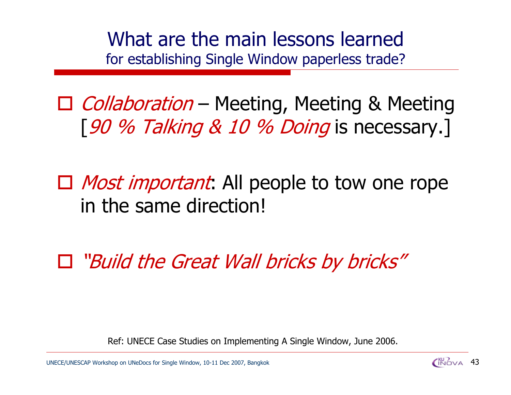What are the main lessons learnedfor establishing Single Window paperless trade?

□ Collaboration – Meeting, Meeting & Meeting [90 % Talking & 10 % Doing is necessary.]

□ *Most important*: All people to tow one rope in the same direction!

"Build the Great Wall bricks by bricks"

Ref: UNECE Case Studies on Implementing A Single Window, June 2006.

UNECE/UNESCAP Workshop on UNeDocs for Single Window, 10-11 Dec 2007, Bangkok